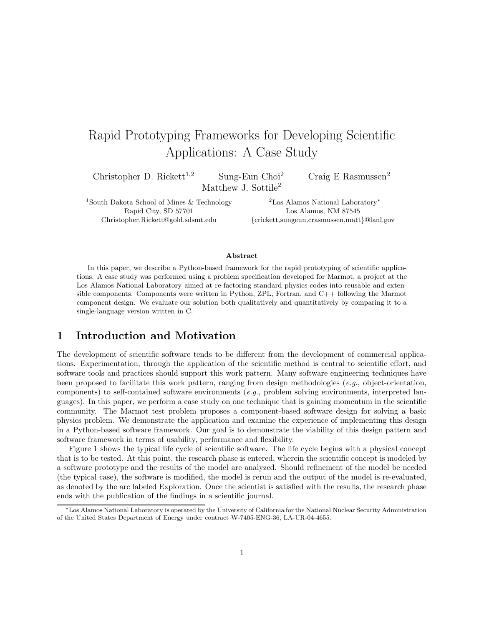# Rapid Prototyping Frameworks for Developing Scientific Applications: A Case Study

Christopher D. Rickett<sup>1,2</sup> Sung-Eun Choi<sup>2</sup> Craig E Rasmussen<sup>2</sup> Matthew J. Sottile<sup>2</sup>

<sup>1</sup>South Dakota School of Mines & Technology Rapid City, SD 57701 Christopher.Rickett@gold.sdsmt.edu

<sup>2</sup>Los Alamos National Laboratory<sup>∗</sup> Los Alamos, NM 87545 {crickett,sungeun,crasmussen,matt}@lanl.gov

#### Abstract

In this paper, we describe a Python-based framework for the rapid prototyping of scientific applications. A case study was performed using a problem specification developed for Marmot, a project at the Los Alamos National Laboratory aimed at re-factoring standard physics codes into reusable and extensible components. Components were written in Python, ZPL, Fortran, and C++ following the Marmot component design. We evaluate our solution both qualitatively and quantitatively by comparing it to a single-language version written in C.

# 1 Introduction and Motivation

The development of scientific software tends to be different from the development of commercial applications. Experimentation, through the application of the scientific method is central to scientific effort, and software tools and practices should support this work pattern. Many software engineering techniques have been proposed to facilitate this work pattern, ranging from design methodologies (e.g., object-orientation, components) to self-contained software environments (e.g., problem solving environments, interpreted languages). In this paper, we perform a case study on one technique that is gaining momentum in the scientific community. The Marmot test problem proposes a component-based software design for solving a basic physics problem. We demonstrate the application and examine the experience of implementing this design in a Python-based software framework. Our goal is to demonstrate the viability of this design pattern and software framework in terms of usability, performance and flexibility.

Figure 1 shows the typical life cycle of scientific software. The life cycle begins with a physical concept that is to be tested. At this point, the research phase is entered, wherein the scientific concept is modeled by a software prototype and the results of the model are analyzed. Should refinement of the model be needed (the typical case), the software is modified, the model is rerun and the output of the model is re-evaluated, as denoted by the arc labeled Exploration. Once the scientist is satisfied with the results, the research phase ends with the publication of the findings in a scientific journal.

<sup>∗</sup>Los Alamos National Laboratory is operated by the University of California for the National Nuclear Security Administration of the United States Department of Energy under contract W-7405-ENG-36, LA-UR-04-4655.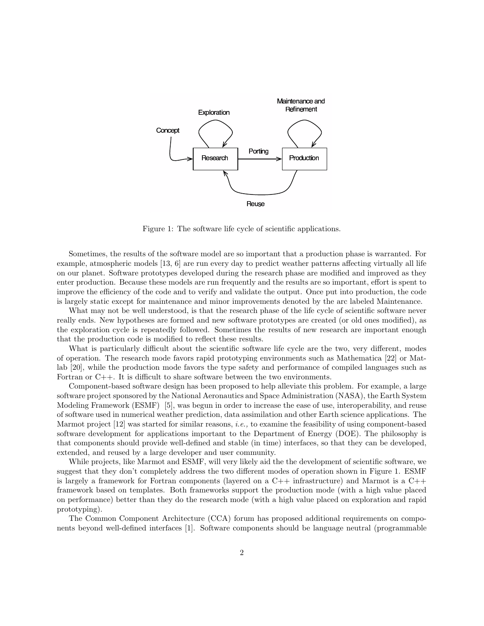

Figure 1: The software life cycle of scientific applications.

Sometimes, the results of the software model are so important that a production phase is warranted. For example, atmospheric models [13, 6] are run every day to predict weather patterns affecting virtually all life on our planet. Software prototypes developed during the research phase are modified and improved as they enter production. Because these models are run frequently and the results are so important, effort is spent to improve the efficiency of the code and to verify and validate the output. Once put into production, the code is largely static except for maintenance and minor improvements denoted by the arc labeled Maintenance.

What may not be well understood, is that the research phase of the life cycle of scientific software never really ends. New hypotheses are formed and new software prototypes are created (or old ones modified), as the exploration cycle is repeatedly followed. Sometimes the results of new research are important enough that the production code is modified to reflect these results.

What is particularly difficult about the scientific software life cycle are the two, very different, modes of operation. The research mode favors rapid prototyping environments such as Mathematica [22] or Matlab [20], while the production mode favors the type safety and performance of compiled languages such as Fortran or C++. It is difficult to share software between the two environments.

Component-based software design has been proposed to help alleviate this problem. For example, a large software project sponsored by the National Aeronautics and Space Administration (NASA), the Earth System Modeling Framework (ESMF) [5], was begun in order to increase the ease of use, interoperability, and reuse of software used in numerical weather prediction, data assimilation and other Earth science applications. The Marmot project [12] was started for similar reasons, i.e., to examine the feasibility of using component-based software development for applications important to the Department of Energy (DOE). The philosophy is that components should provide well-defined and stable (in time) interfaces, so that they can be developed, extended, and reused by a large developer and user community.

While projects, like Marmot and ESMF, will very likely aid the the development of scientific software, we suggest that they don't completely address the two different modes of operation shown in Figure 1. ESMF is largely a framework for Fortran components (layered on a C++ infrastructure) and Marmot is a C++ framework based on templates. Both frameworks support the production mode (with a high value placed on performance) better than they do the research mode (with a high value placed on exploration and rapid prototyping).

The Common Component Architecture (CCA) forum has proposed additional requirements on components beyond well-defined interfaces [1]. Software components should be language neutral (programmable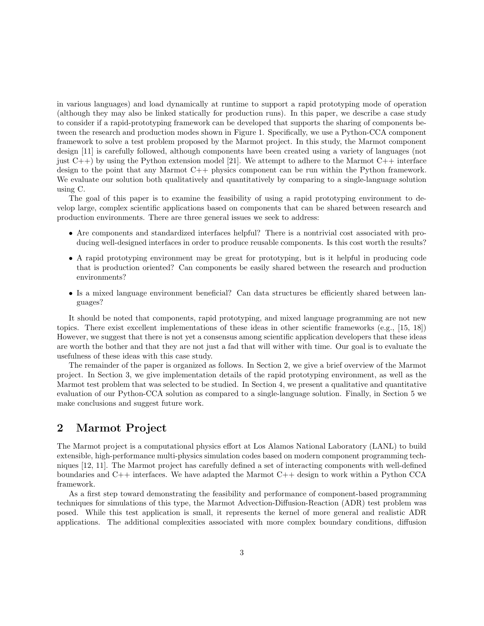in various languages) and load dynamically at runtime to support a rapid prototyping mode of operation (although they may also be linked statically for production runs). In this paper, we describe a case study to consider if a rapid-prototyping framework can be developed that supports the sharing of components between the research and production modes shown in Figure 1. Specifically, we use a Python-CCA component framework to solve a test problem proposed by the Marmot project. In this study, the Marmot component design [11] is carefully followed, although components have been created using a variety of languages (not just  $C_{++}$ ) by using the Python extension model [21]. We attempt to adhere to the Marmot  $C_{++}$  interface design to the point that any Marmot C++ physics component can be run within the Python framework. We evaluate our solution both qualitatively and quantitatively by comparing to a single-language solution using C.

The goal of this paper is to examine the feasibility of using a rapid prototyping environment to develop large, complex scientific applications based on components that can be shared between research and production environments. There are three general issues we seek to address:

- Are components and standardized interfaces helpful? There is a nontrivial cost associated with producing well-designed interfaces in order to produce reusable components. Is this cost worth the results?
- A rapid prototyping environment may be great for prototyping, but is it helpful in producing code that is production oriented? Can components be easily shared between the research and production environments?
- Is a mixed language environment beneficial? Can data structures be efficiently shared between languages?

It should be noted that components, rapid prototyping, and mixed language programming are not new topics. There exist excellent implementations of these ideas in other scientific frameworks (e.g., [15, 18]) However, we suggest that there is not yet a consensus among scientific application developers that these ideas are worth the bother and that they are not just a fad that will wither with time. Our goal is to evaluate the usefulness of these ideas with this case study.

The remainder of the paper is organized as follows. In Section 2, we give a brief overview of the Marmot project. In Section 3, we give implementation details of the rapid prototyping environment, as well as the Marmot test problem that was selected to be studied. In Section 4, we present a qualitative and quantitative evaluation of our Python-CCA solution as compared to a single-language solution. Finally, in Section 5 we make conclusions and suggest future work.

# 2 Marmot Project

The Marmot project is a computational physics effort at Los Alamos National Laboratory (LANL) to build extensible, high-performance multi-physics simulation codes based on modern component programming techniques [12, 11]. The Marmot project has carefully defined a set of interacting components with well-defined boundaries and C++ interfaces. We have adapted the Marmot C++ design to work within a Python CCA framework.

As a first step toward demonstrating the feasibility and performance of component-based programming techniques for simulations of this type, the Marmot Advection-Diffusion-Reaction (ADR) test problem was posed. While this test application is small, it represents the kernel of more general and realistic ADR applications. The additional complexities associated with more complex boundary conditions, diffusion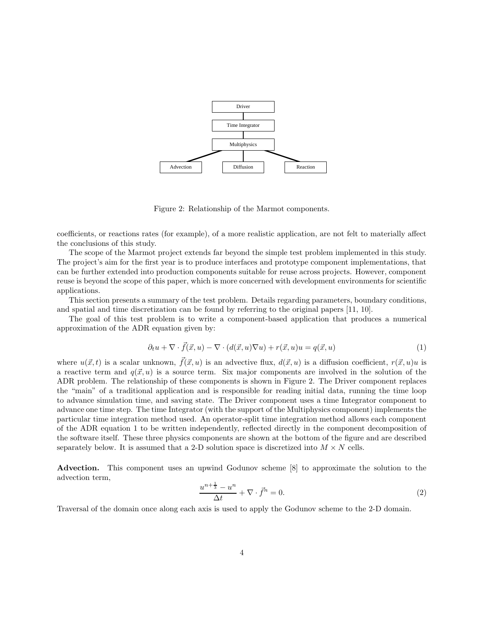

Figure 2: Relationship of the Marmot components.

coefficients, or reactions rates (for example), of a more realistic application, are not felt to materially affect the conclusions of this study.

The scope of the Marmot project extends far beyond the simple test problem implemented in this study. The project's aim for the first year is to produce interfaces and prototype component implementations, that can be further extended into production components suitable for reuse across projects. However, component reuse is beyond the scope of this paper, which is more concerned with development environments for scientific applications.

This section presents a summary of the test problem. Details regarding parameters, boundary conditions, and spatial and time discretization can be found by referring to the original papers [11, 10].

The goal of this test problem is to write a component-based application that produces a numerical approximation of the ADR equation given by:

$$
\partial_t u + \nabla \cdot \vec{f}(\vec{x}, u) - \nabla \cdot (d(\vec{x}, u) \nabla u) + r(\vec{x}, u)u = q(\vec{x}, u)
$$
\n(1)

where  $u(\vec{x},t)$  is a scalar unknown,  $\vec{f}(\vec{x}, u)$  is an advective flux,  $d(\vec{x}, u)$  is a diffusion coefficient,  $r(\vec{x}, u)u$  is a reactive term and  $q(\vec{x}, u)$  is a source term. Six major components are involved in the solution of the ADR problem. The relationship of these components is shown in Figure 2. The Driver component replaces the "main" of a traditional application and is responsible for reading initial data, running the time loop to advance simulation time, and saving state. The Driver component uses a time Integrator component to advance one time step. The time Integrator(with the support of the Multiphysics component) implements the particular time integration method used. An operator-split time integration method allows each component of the ADR equation 1 to be written independently, reflected directly in the component decomposition of the software itself. These three physics components are shown at the bottom of the figure and are described separately below. It is assumed that a 2-D solution space is discretized into  $M \times N$  cells.

Advection. This component uses an upwind Godunov scheme [8] to approximate the solution to the advection term,

$$
\frac{u^{n+\frac{1}{3}} - u^n}{\Delta t} + \nabla \cdot \vec{f}^n = 0.
$$
\n<sup>(2)</sup>

Traversal of the domain once along each axis is used to apply the Godunov scheme to the 2-D domain.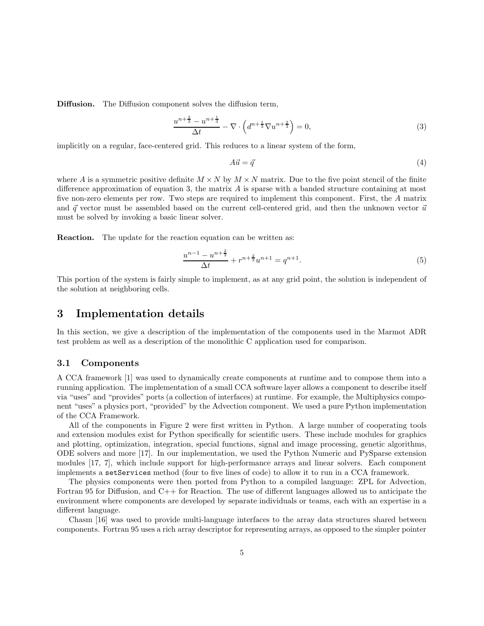Diffusion. The Diffusion component solves the diffusion term,

$$
\frac{u^{n+\frac{2}{3}} - u^{n+\frac{1}{3}}}{\Delta t} - \nabla \cdot \left( d^{n+\frac{1}{3}} \nabla u^{n+\frac{2}{3}} \right) = 0,\tag{3}
$$

implicitly on a regular, face-centered grid. This reduces to a linear system of the form,

$$
A\vec{u} = \vec{q} \tag{4}
$$

where A is a symmetric positive definite  $M \times N$  by  $M \times N$  matrix. Due to the five point stencil of the finite difference approximation of equation 3, the matrix  $A$  is sparse with a banded structure containing at most five non-zero elements per row. Two steps are required to implement this component. First, the A matrix and  $\vec{q}$  vector must be assembled based on the current cell-centered grid, and then the unknown vector  $\vec{u}$ must be solved by invoking a basic linear solver.

Reaction. The update for the reaction equation can be written as:

$$
\frac{u^{n-1} - u^{n + \frac{2}{3}}}{\Delta t} + r^{n + \frac{2}{3}} u^{n+1} = q^{n+1}.
$$
\n(5)

This portion of the system is fairly simple to implement, as at any grid point, the solution is independent of the solution at neighboring cells.

### 3 Implementation details

In this section, we give a description of the implementation of the components used in the Marmot ADR test problem as well as a description of the monolithic C application used for comparison.

#### 3.1 Components

A CCA framework [1] was used to dynamically create components at runtime and to compose them into a running application. The implementation of a small CCA software layer allows a component to describe itself via "uses" and "provides" ports (a collection of interfaces) at runtime. For example, the Multiphysics component "uses" a physics port, "provided" by the Advection component. We used a pure Python implementation of the CCA Framework.

All of the components in Figure 2 were first written in Python. A large number of cooperating tools and extension modules exist for Python specifically for scientific users. These include modules for graphics and plotting, optimization, integration, special functions, signal and image processing, genetic algorithms, ODE solvers and more [17]. In our implementation, we used the Python Numeric and PySparse extension modules [17, 7], which include support for high-performance arrays and linear solvers. Each component implements a setServices method (four to five lines of code) to allow it to run in a CCA framework.

The physics components were then ported from Python to a compiled language: ZPL for Advection, Fortran 95 for Diffusion, and C++ for Reaction. The use of different languages allowed us to anticipate the environment where components are developed by separate individuals or teams, each with an expertise in a different language.

Chasm [16] was used to provide multi-language interfaces to the array data structures shared between components. Fortran 95 uses a rich array descriptor for representing arrays, as opposed to the simpler pointer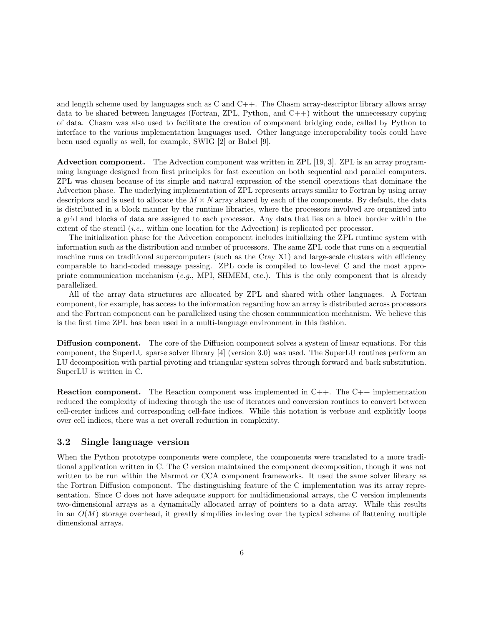and length scheme used by languages such as C and C++. The Chasm array-descriptor library allows array data to be shared between languages (Fortran, ZPL, Python, and C++) without the unnecessary copying of data. Chasm was also used to facilitate the creation of component bridging code, called by Python to interface to the various implementation languages used. Other language interoperability tools could have been used equally as well, for example, SWIG [2] or Babel [9].

Advection component. The Advection component was written in ZPL [19, 3]. ZPL is an array programming language designed from first principles for fast execution on both sequential and parallel computers. ZPL was chosen because of its simple and natural expression of the stencil operations that dominate the Advection phase. The underlying implementation of ZPL represents arrays similar to Fortran by using array descriptors and is used to allocate the  $M \times N$  array shared by each of the components. By default, the data is distributed in a block manner by the runtime libraries, where the processors involved are organized into a grid and blocks of data are assigned to each processor. Any data that lies on a block border within the extent of the stencil (i.e., within one location for the Advection) is replicated per processor.

The initialization phase for the Advection component includes initializing the ZPL runtime system with information such as the distribution and number of processors. The same ZPL code that runs on a sequential machine runs on traditional supercomputers (such as the Cray X1) and large-scale clusters with efficiency comparable to hand-coded message passing. ZPL code is compiled to low-level C and the most appropriate communication mechanism (e.g., MPI, SHMEM, etc.). This is the only component that is already parallelized.

All of the array data structures are allocated by ZPL and shared with other languages. A Fortran component, for example, has access to the information regarding how an array is distributed across processors and the Fortran component can be parallelized using the chosen communication mechanism. We believe this is the first time ZPL has been used in a multi-language environment in this fashion.

Diffusion component. The core of the Diffusion component solves a system of linear equations. For this component, the SuperLU sparse solver library [4] (version 3.0) was used. The SuperLU routines perform an LU decomposition with partial pivoting and triangular system solves through forward and back substitution. SuperLU is written in C.

**Reaction component.** The Reaction component was implemented in  $C_{++}$ . The  $C_{++}$  implementation reduced the complexity of indexing through the use of iterators and conversion routines to convert between cell-center indices and corresponding cell-face indices. While this notation is verbose and explicitly loops over cell indices, there was a net overall reduction in complexity.

#### 3.2 Single language version

When the Python prototype components were complete, the components were translated to a more traditional application written in C. The C version maintained the component decomposition, though it was not written to be run within the Marmot or CCA component frameworks. It used the same solver library as the Fortran Diffusion component. The distinguishing feature of the C implementation was its array representation. Since C does not have adequate support for multidimensional arrays, the C version implements two-dimensional arrays as a dynamically allocated array of pointers to a data array. While this results in an  $O(M)$  storage overhead, it greatly simplifies indexing over the typical scheme of flattening multiple dimensional arrays.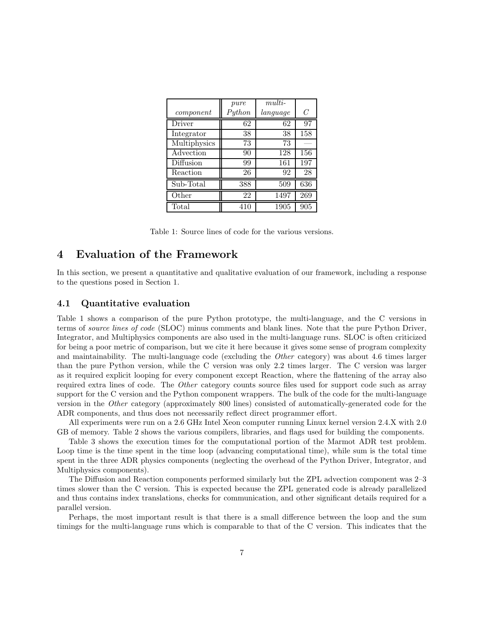|              | pure   | multi    |     |
|--------------|--------|----------|-----|
| component    | Python | language | C   |
| Driver       | 62     | 62       | 97  |
| Integrator   | 38     | 38       | 158 |
| Multiphysics | 73     | 73       |     |
| Advection    | 90     | 128      | 156 |
| Diffusion    | 99     | 161      | 197 |
| Reaction     | 26     | 92       | 28  |
| $Sub-Total$  | 388    | 509      | 636 |
| $\rm Other$  | 22     | 1497     | 269 |
| Total        | 410    | 1905     | 905 |

Table 1: Source lines of code for the various versions.

### 4 Evaluation of the Framework

In this section, we present a quantitative and qualitative evaluation of our framework, including a response to the questions posed in Section 1.

#### 4.1 Quantitative evaluation

Table 1 shows a comparison of the pure Python prototype, the multi-language, and the C versions in terms of source lines of code (SLOC) minus comments and blank lines. Note that the pure Python Driver, Integrator, and Multiphysics components are also used in the multi-language runs. SLOC is often criticized for being a poor metric of comparison, but we cite it here because it gives some sense of program complexity and maintainability. The multi-language code (excluding the Other category) was about 4.6 times larger than the pure Python version, while the C version was only 2.2 times larger. The C version was larger as it required explicit looping for every component except Reaction, where the flattening of the array also required extra lines of code. The Other category counts source files used for support code such as array support for the C version and the Python component wrappers. The bulk of the code for the multi-language version in the Other category (approximately 800 lines) consisted of automatically-generated code for the ADR components, and thus does not necessarily reflect direct programmer effort.

All experiments were run on a 2.6 GHz Intel Xeon computer running Linux kernel version 2.4.X with 2.0 GB of memory. Table 2 shows the various compilers, libraries, and flags used for building the components.

Table 3 shows the execution times for the computational portion of the Marmot ADR test problem. Loop time is the time spent in the time loop (advancing computational time), while sum is the total time spent in the three ADR physics components (neglecting the overhead of the Python Driver, Integrator, and Multiphysics components).

The Diffusion and Reaction components performed similarly but the ZPL advection component was 2–3 times slower than the C version. This is expected because the ZPL generated code is already parallelized and thus contains index translations, checks for communication, and other significant details required for a parallel version.

Perhaps, the most important result is that there is a small difference between the loop and the sum timings for the multi-language runs which is comparable to that of the C version. This indicates that the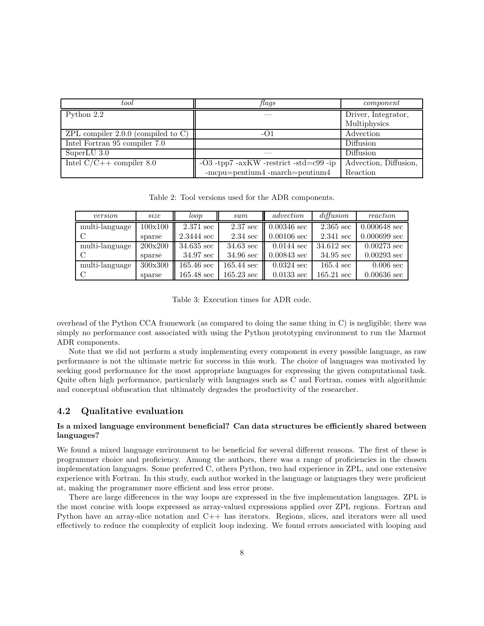| tool                                 | flags                                          | component             |
|--------------------------------------|------------------------------------------------|-----------------------|
| Python 2.2                           |                                                | Driver, Integrator,   |
|                                      |                                                | Multiphysics          |
| ZPL compiler $2.0.0$ (compiled to C) | $-()$                                          | Advection             |
| Intel Fortran 95 compiler 7.0        |                                                | <b>Diffusion</b>      |
| SuperLU 3.0                          |                                                | Diffusion             |
| Intel $C/C++$ compiler 8.0           | $-O3$ -tpp7 $-axKW$ -restrict $-std = c99$ -ip | Advection, Diffusion, |
|                                      | -mcpu=pentium4 -march=pentium4                 | Reaction              |

Table 2: Tool versions used for the ADR components.

| version        | size    | loop                 | sum                  | advection             | diffusion            | reaction       |
|----------------|---------|----------------------|----------------------|-----------------------|----------------------|----------------|
| multi-language | 100x100 | $2.371 \text{ sec}$  | $2.37 \text{ sec}$   | $0.00346 \text{ sec}$ | $2.365 \text{ sec}$  | $0.000648$ sec |
|                | sparse  | $2.3444$ sec         | $2.34 \text{ sec}$   | $0.00106$ sec         | $2.341 \text{ sec}$  | $0.000699$ sec |
| multi-language | 200x200 | $34.635$ sec         | $34.63 \text{ sec}$  | $0.0144$ sec          | $34.612 \text{ sec}$ | $0.00273$ sec  |
|                | sparse  | $34.97 \text{ sec}$  | $34.96 \text{ sec}$  | $0.00843 \text{ sec}$ | $34.95 \text{ sec}$  | $0.00293$ sec  |
| multi-language | 300x300 | $165.46 \text{ sec}$ | $165.44 \text{ sec}$ | $0.0324$ sec          | $165.4 \text{ sec}$  | $0.006$ sec    |
|                | sparse  | $165.48 \text{ sec}$ | $165.23$ sec         | $0.0133$ sec          | $165.21 \text{ sec}$ | $0.00636$ sec  |

Table 3: Execution times for ADR code.

overhead of the Python CCA framework (as compared to doing the same thing in C) is negligible; there was simply no performance cost associated with using the Python prototyping environment to run the Marmot ADR components.

Note that we did not perform a study implementing every component in every possible language, as raw performance is not the ultimate metric for success in this work. The choice of languages was motivated by seeking good performance for the most appropriate languages for expressing the given computational task. Quite often high performance, particularly with languages such as C and Fortran, comes with algorithmic and conceptual obfuscation that ultimately degrades the productivity of the researcher.

#### 4.2 Qualitative evaluation

#### Is a mixed language environment beneficial? Can data structures be efficiently shared between languages?

We found a mixed language environment to be beneficial for several different reasons. The first of these is programmer choice and proficiency. Among the authors, there was a range of proficiencies in the chosen implementation languages. Some preferred C, others Python, two had experience in ZPL, and one extensive experience with Fortran. In this study, each author worked in the language or languages they were proficient at, making the programmer more efficient and less error prone.

There are large differences in the way loops are expressed in the five implementation languages. ZPL is the most concise with loops expressed as array-valued expressions applied over ZPL regions. Fortran and Python have an array-slice notation and C++ has iterators. Regions, slices, and iterators were all used effectively to reduce the complexity of explicit loop indexing. We found errors associated with looping and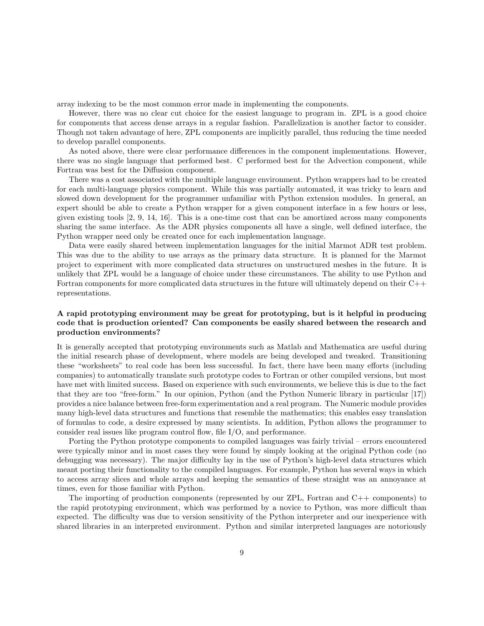array indexing to be the most common error made in implementing the components.

However, there was no clear cut choice for the easiest language to program in. ZPL is a good choice for components that access dense arrays in a regular fashion. Parallelization is another factor to consider. Though not taken advantage of here, ZPL components are implicitly parallel, thus reducing the time needed to develop parallel components.

As noted above, there were clear performance differences in the component implementations. However, there was no single language that performed best. C performed best for the Advection component, while Fortran was best for the Diffusion component.

There was a cost associated with the multiple language environment. Python wrappers had to be created for each multi-language physics component. While this was partially automated, it was tricky to learn and slowed down development for the programmer unfamiliar with Python extension modules. In general, an expert should be able to create a Python wrapper for a given component interface in a few hours or less, given existing tools [2, 9, 14, 16]. This is a one-time cost that can be amortized across many components sharing the same interface. As the ADR physics components all have a single, well defined interface, the Python wrapper need only be created once for each implementation language.

Data were easily shared between implementation languages for the initial Marmot ADR test problem. This was due to the ability to use arrays as the primary data structure. It is planned for the Marmot project to experiment with more complicated data structures on unstructured meshes in the future. It is unlikely that ZPL would be a language of choice under these circumstances. The ability to use Python and Fortran components for more complicated data structures in the future will ultimately depend on their C++ representations.

#### A rapid prototyping environment may be great for prototyping, but is it helpful in producing code that is production oriented? Can components be easily shared between the research and production environments?

It is generally accepted that prototyping environments such as Matlab and Mathematica are useful during the initial research phase of development, where models are being developed and tweaked. Transitioning these "worksheets" to real code has been less successful. In fact, there have been many efforts (including companies) to automatically translate such prototype codes to Fortran or other compiled versions, but most have met with limited success. Based on experience with such environments, we believe this is due to the fact that they are too "free-form." In our opinion, Python (and the Python Numeric library in particular [17]) provides a nice balance between free-form experimentation and a real program. The Numeric module provides many high-level data structures and functions that resemble the mathematics; this enables easy translation of formulas to code, a desire expressed by many scientists. In addition, Python allows the programmer to consider real issues like program control flow, file I/O, and performance.

Porting the Python prototype components to compiled languages was fairly trivial – errors encountered were typically minor and in most cases they were found by simply looking at the original Python code (no debugging was necessary). The major difficulty lay in the use of Python's high-level data structures which meant porting their functionality to the compiled languages. For example, Python has several ways in which to access array slices and whole arrays and keeping the semantics of these straight was an annoyance at times, even for those familiar with Python.

The importing of production components (represented by our ZPL, Fortran and C++ components) to the rapid prototyping environment, which was performed by a novice to Python, was more difficult than expected. The difficulty was due to version sensitivity of the Python interpreter and our inexperience with shared libraries in an interpreted environment. Python and similar interpreted languages are notoriously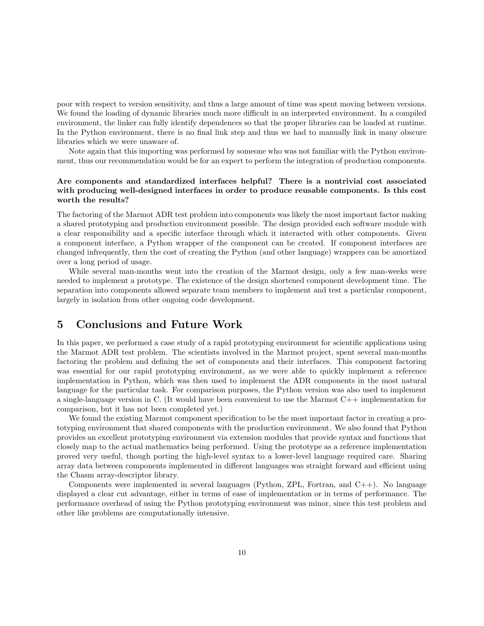poor with respect to version sensitivity, and thus a large amount of time was spent moving between versions. We found the loading of dynamic libraries much more difficult in an interpreted environment. In a compiled environment, the linker can fully identify dependences so that the proper libraries can be loaded at runtime. In the Python environment, there is no final link step and thus we had to manually link in many obscure libraries which we were unaware of.

Note again that this importing was performed by someone who was not familiar with the Python environment, thus our recommendation would be for an expert to perform the integration of production components.

#### Are components and standardized interfaces helpful? There is a nontrivial cost associated with producing well-designed interfaces in order to produce reusable components. Is this cost worth the results?

The factoring of the Marmot ADR test problem into components was likely the most important factor making a shared prototyping and production environment possible. The design provided each software module with a clear responsibility and a specific interface through which it interacted with other components. Given a component interface, a Python wrapper of the component can be created. If component interfaces are changed infrequently, then the cost of creating the Python (and other language) wrappers can be amortized over a long period of usage.

While several man-months went into the creation of the Marmot design, only a few man-weeks were needed to implement a prototype. The existence of the design shortened component development time. The separation into components allowed separate team members to implement and test a particular component, largely in isolation from other ongoing code development.

# 5 Conclusions and Future Work

In this paper, we performed a case study of a rapid prototyping environment for scientific applications using the Marmot ADR test problem. The scientists involved in the Marmot project, spent several man-months factoring the problem and defining the set of components and their interfaces. This component factoring was essential for our rapid prototyping environment, as we were able to quickly implement a reference implementation in Python, which was then used to implement the ADR components in the most natural language for the particular task. For comparison purposes, the Python version was also used to implement a single-language version in C. (It would have been convenient to use the Marmot C++ implementation for comparison, but it has not been completed yet.)

We found the existing Marmot component specification to be the most important factor in creating a prototyping environment that shared components with the production environment. We also found that Python provides an excellent prototyping environment via extension modules that provide syntax and functions that closely map to the actual mathematics being performed. Using the prototype as a reference implementation proved very useful, though porting the high-level syntax to a lower-level language required care. Sharing array data between components implemented in different languages was straight forward and efficient using the Chasm array-descriptor library.

Components were implemented in several languages (Python, ZPL, Fortran, and C++). No language displayed a clear cut advantage, either in terms of ease of implementation or in terms of performance. The performance overhead of using the Python prototyping environment was minor, since this test problem and other like problems are computationally intensive.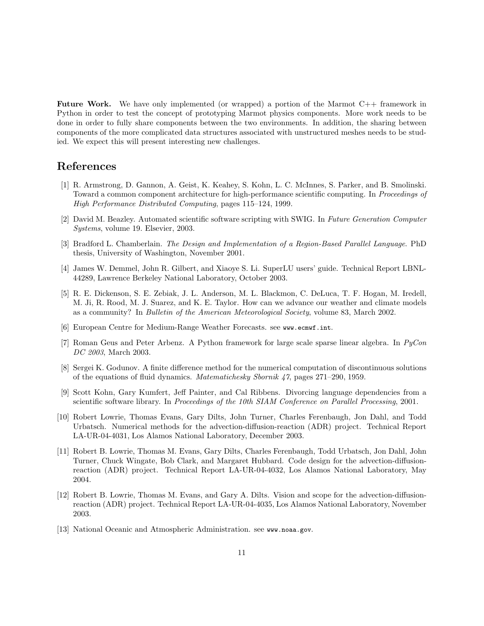Future Work. We have only implemented (or wrapped) a portion of the Marmot C++ framework in Python in order to test the concept of prototyping Marmot physics components. More work needs to be done in order to fully share components between the two environments. In addition, the sharing between components of the more complicated data structures associated with unstructured meshes needs to be studied. We expect this will present interesting new challenges.

### References

- [1] R. Armstrong, D. Gannon, A. Geist, K. Keahey, S. Kohn, L. C. McInnes, S. Parker, and B. Smolinski. Toward a common component architecture for high-performance scientific computing. In Proceedings of High Performance Distributed Computing, pages 115–124, 1999.
- [2] David M. Beazley. Automated scientific software scripting with SWIG. In Future Generation Computer Systems, volume 19. Elsevier, 2003.
- [3] Bradford L. Chamberlain. The Design and Implementation of a Region-Based Parallel Language. PhD thesis, University of Washington, November 2001.
- [4] James W. Demmel, John R. Gilbert, and Xiaoye S. Li. SuperLU users' guide. Technical Report LBNL-44289, Lawrence Berkeley National Laboratory, October 2003.
- [5] R. E. Dickenson, S. E. Zebiak, J. L. Anderson, M. L. Blackmon, C. DeLuca, T. F. Hogan, M. Iredell, M. Ji, R. Rood, M. J. Suarez, and K. E. Taylor. How can we advance our weather and climate models as a community? In Bulletin of the American Meteorological Society, volume 83, March 2002.
- [6] European Centre for Medium-Range Weather Forecasts. see www.ecmwf.int.
- [7] Roman Geus and Peter Arbenz. A Python framework for large scale sparse linear algebra. In PyCon DC 2003, March 2003.
- [8] Sergei K. Godunov. A finite difference method for the numerical computation of discontinuous solutions of the equations of fluid dynamics. Matematichesky Sbornik 47, pages 271–290, 1959.
- [9] Scott Kohn, Gary Kumfert, Jeff Painter, and Cal Ribbens. Divorcing language dependencies from a scientific software library. In Proceedings of the 10th SIAM Conference on Parallel Processing, 2001.
- [10] Robert Lowrie, Thomas Evans, Gary Dilts, John Turner, Charles Ferenbaugh, Jon Dahl, and Todd Urbatsch. Numerical methods for the advection-diffusion-reaction (ADR) project. Technical Report LA-UR-04-4031, Los Alamos National Laboratory, December 2003.
- [11] Robert B. Lowrie, Thomas M. Evans, Gary Dilts, Charles Ferenbaugh, Todd Urbatsch, Jon Dahl, John Turner, Chuck Wingate, Bob Clark, and Margaret Hubbard. Code design for the advection-diffusionreaction (ADR) project. Technical Report LA-UR-04-4032, Los Alamos National Laboratory, May 2004.
- [12] Robert B. Lowrie, Thomas M. Evans, and Gary A. Dilts. Vision and scope for the advection-diffusionreaction (ADR) project. Technical Report LA-UR-04-4035, Los Alamos National Laboratory, November 2003.
- [13] National Oceanic and Atmospheric Administration. see www.noaa.gov.